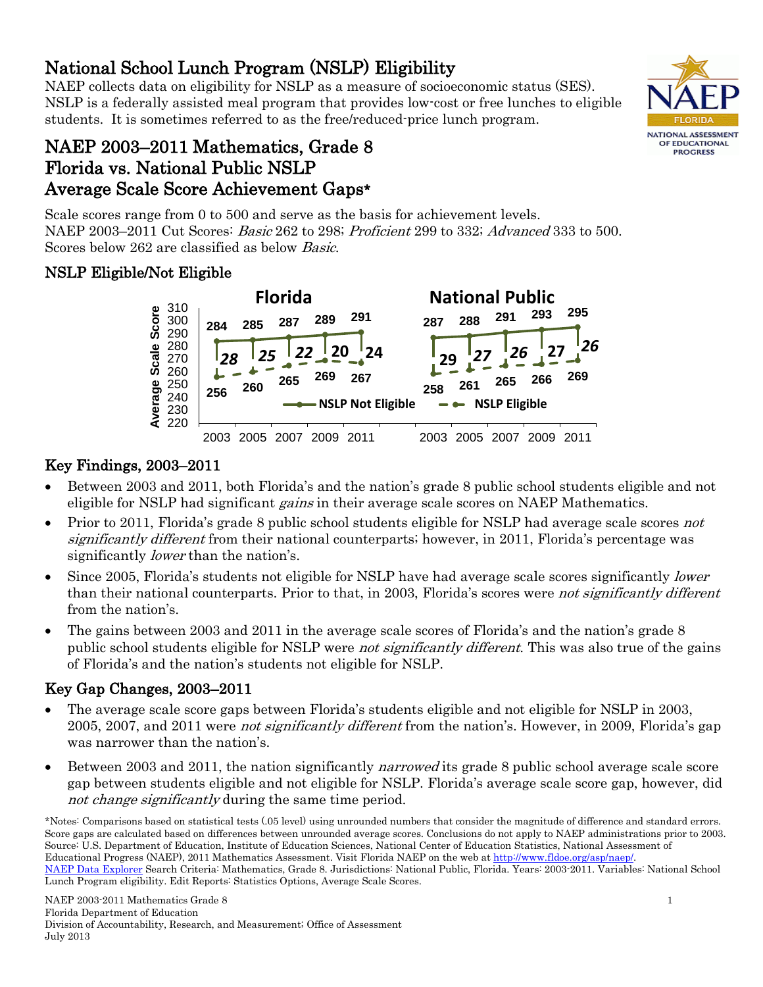#### • Between 2003 and 2011, the nation significantly *narrowed* its grade 8 public school average scale score gap between students eligible and not eligible for NSLP. Florida's average scale score gap, however, did not change significantly during the same time period.

\*Notes: Comparisons based on statistical tests (.05 level) using unrounded numbers that consider the magnitude of difference and standard errors. Score gaps are calculated based on differences between unrounded average scores. Conclusions do not apply to NAEP administrations prior to 2003. Source: U.S. Department of Education, Institute of Education Sciences, National Center of Education Statistics, National Assessment of Educational Progress (NAEP), 2011 Mathematics Assessment. Visit Florida NAEP on the web at [http://www.fldoe.org/asp/naep/.](http://www.fldoe.org/asp/naep/)  [NAEP Data Explorer](http://nces.ed.gov/nationsreportcard/naepdata/) Search Criteria: Mathematics, Grade 8. Jurisdictions: National Public, Florida. Years: 2003-2011. Variables: National School Lunch Program eligibility. Edit Reports: Statistics Options, Average Scale Scores.

National School Lunch Program (NSLP) Eligibility<br>NAEP collects data on eligibility for NSLP as a measure of socioeconomic status (SES). NSLP is a federally assisted meal program that provides low-cost or free lunches to eligible students. It is sometimes referred to as the free/reduced-price lunch program.

# NAEP 2003–2011 Mathematics, Grade 8 Florida vs. National Public NSLP Average Scale Score Achievement Gaps\*

Scale scores range from 0 to 500 and serve as the basis for achievement levels. NAEP 2003–2011 Cut Scores: Basic 262 to 298; Proficient 299 to 332; Advanced 333 to 500. Scores below 262 are classified as below Basic.

## NSLP Eligible/Not Eligible



## Key Findings, 2003–2011

- Between 2003 and 2011, both Florida's and the nation's grade 8 public school students eligible and not eligible for NSLP had significant *gains* in their average scale scores on NAEP Mathematics.
- Prior to 2011, Florida's grade 8 public school students eligible for NSLP had average scale scores not significantly different from their national counterparts; however, in 2011, Florida's percentage was significantly *lower* than the nation's.
- Since 2005, Florida's students not eligible for NSLP have had average scale scores significantly *lower* than their national counterparts. Prior to that, in 2003, Florida's scores were not significantly different from the nation's.
- The gains between 2003 and 2011 in the average scale scores of Florida's and the nation's grade 8 public school students eligible for NSLP were *not significantly different*. This was also true of the gains of Florida's and the nation's students not eligible for NSLP.

## Key Gap Changes, 2003–2011

- The average scale score gaps between Florida's students eligible and not eligible for NSLP in 2003, 2005, 2007, and 2011 were not significantly different from the nation's. However, in 2009, Florida's gap was narrower than the nation's.
- 

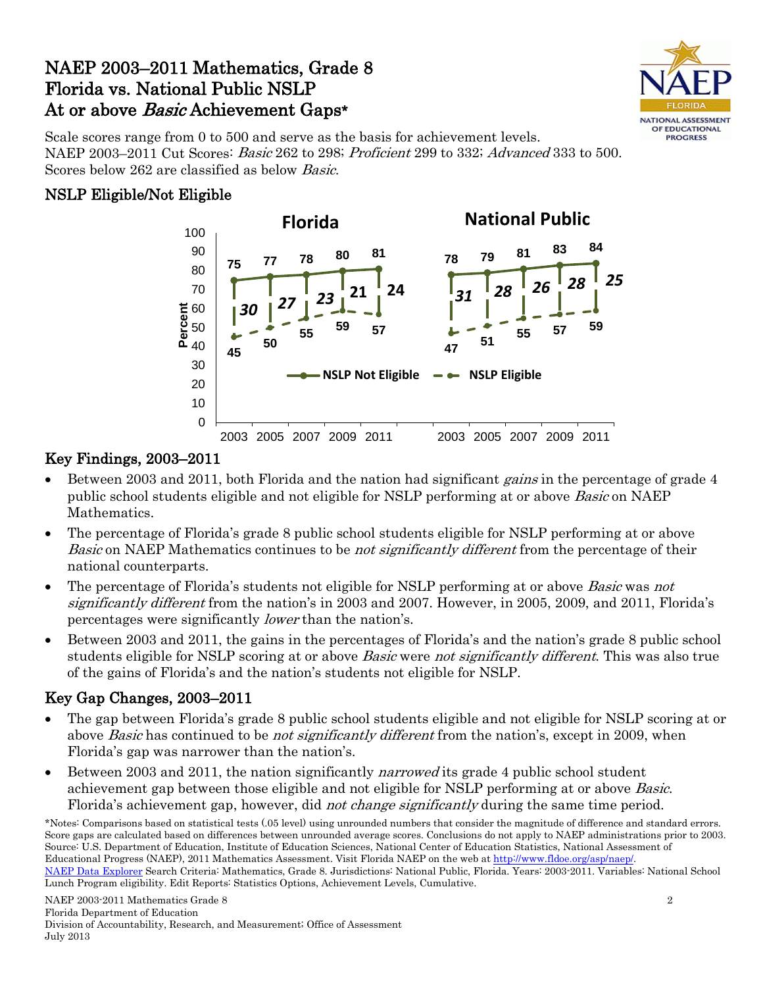## NAEP 2003–2011 Mathematics, Grade 8 Florida vs. National Public NSLP At or above Basic Achievement Gaps\*



Scale scores range from 0 to 500 and serve as the basis for achievement levels. NAEP 2003–2011 Cut Scores: Basic 262 to 298; Proficient 299 to 332; Advanced 333 to 500. Scores below 262 are classified as below Basic.

#### NSLP Eligible/Not Eligible



## Key Findings, 2003–2011

- Between 2003 and 2011, both Florida and the nation had significant *gains* in the percentage of grade 4 public school students eligible and not eligible for NSLP performing at or above Basic on NAEP Mathematics.
- The percentage of Florida's grade 8 public school students eligible for NSLP performing at or above Basic on NAEP Mathematics continues to be *not significantly different* from the percentage of their national counterparts.
- The percentage of Florida's students not eligible for NSLP performing at or above *Basic* was not significantly different from the nation's in 2003 and 2007. However, in 2005, 2009, and 2011, Florida's percentages were significantly lower than the nation's.
- Between 2003 and 2011, the gains in the percentages of Florida's and the nation's grade 8 public school students eligible for NSLP scoring at or above *Basic* were *not significantly different*. This was also true of the gains of Florida's and the nation's students not eligible for NSLP.

## Key Gap Changes, 2003–2011

- The gap between Florida's grade 8 public school students eligible and not eligible for NSLP scoring at or above *Basic* has continued to be *not significantly different* from the nation's, except in 2009, when Florida's gap was narrower than the nation's.
- Between 2003 and 2011, the nation significantly *narrowed* its grade 4 public school student achievement gap between those eligible and not eligible for NSLP performing at or above Basic. Florida's achievement gap, however, did *not change significantly* during the same time period.

<sup>\*</sup>Notes: Comparisons based on statistical tests (.05 level) using unrounded numbers that consider the magnitude of difference and standard errors. Score gaps are calculated based on differences between unrounded average scores. Conclusions do not apply to NAEP administrations prior to 2003. Source: U.S. Department of Education, Institute of Education Sciences, National Center of Education Statistics, National Assessment of Educational Progress (NAEP), 2011 Mathematics Assessment. Visit Florida NAEP on the web at [http://www.fldoe.org/asp/naep/.](http://www.fldoe.org/asp/naep/)  [NAEP Data Explorer](http://nces.ed.gov/nationsreportcard/naepdata/) Search Criteria: Mathematics, Grade 8. Jurisdictions: National Public, Florida. Years: 2003-2011. Variables: National School Lunch Program eligibility. Edit Reports: Statistics Options, Achievement Levels, Cumulative.